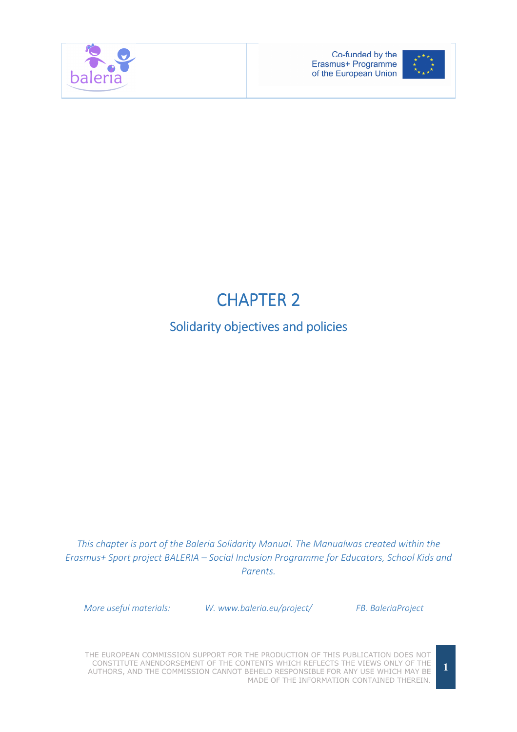



# **CHAPTER 2**

## Solidarity objectives and policies

This chapter is part of the Baleria Solidarity Manual. The Manualwas created within the Erasmus+ Sport project BALERIA – Social Inclusion Programme for Educators, School Kids and Parents.

More useful materials: W. www.baleria.eu/project/ FB. BaleriaProject

THE EUROPEAN COMMISSION SUPPORT FOR THE PRODUCTION OF THIS PUBLICATION DOES NOT CONSTITUTE ANENDORSEMENT OF THE CONTENTS WHICH REFLECTS THE VIEWS ONLY OF THE AUTHORS, AND THE COMMISSION CANNOT BEHELD RESPONSIBLE FOR ANY USE WHICH MAY BE MADE OF THE INFORMATION CONTAINED THEREIN.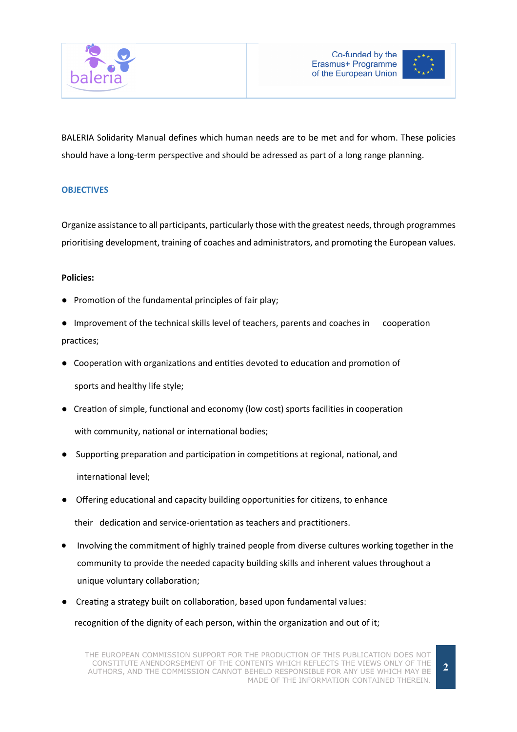



BALERIA Solidarity Manual defines which human needs are to be met and for whom. These policies should have a long-term perspective and should be adressed as part of a long range planning.

### **OBJECTIVES**

Organize assistance to all participants, particularly those with the greatest needs, through programmes prioritising development, training of coaches and administrators, and promoting the European values.

#### Policies:

- Promotion of the fundamental principles of fair play;
- Improvement of the technical skills level of teachers, parents and coaches in cooperation practices;
- Cooperation with organizations and entities devoted to education and promotion of sports and healthy life style;
- Creation of simple, functional and economy (low cost) sports facilities in cooperation with community, national or international bodies;
- Supporting preparation and participation in competitions at regional, national, and international level;
- Offering educational and capacity building opportunities for citizens, to enhance their dedication and service-orientation as teachers and practitioners.
- Involving the commitment of highly trained people from diverse cultures working together in the community to provide the needed capacity building skills and inherent values throughout a unique voluntary collaboration;
- Creating a strategy built on collaboration, based upon fundamental values: recognition of the dignity of each person, within the organization and out of it;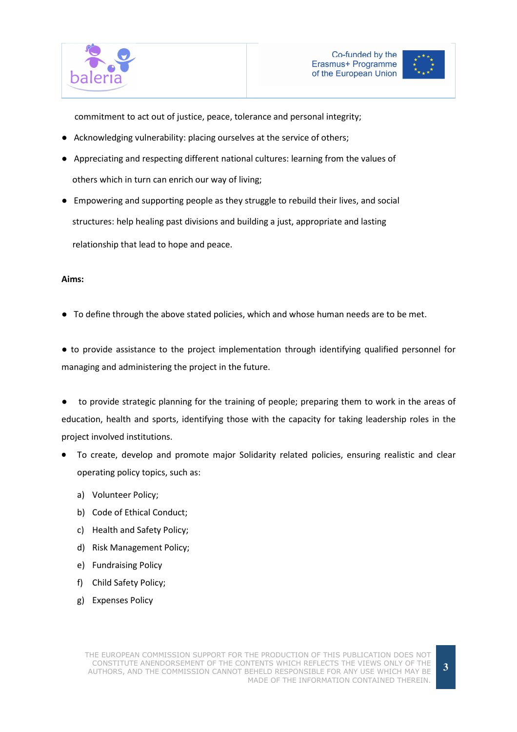



commitment to act out of justice, peace, tolerance and personal integrity;

- Acknowledging vulnerability: placing ourselves at the service of others;
- Appreciating and respecting different national cultures: learning from the values of others which in turn can enrich our way of living;
- Empowering and supporting people as they struggle to rebuild their lives, and social structures: help healing past divisions and building a just, appropriate and lasting relationship that lead to hope and peace.

#### Aims:

● To define through the above stated policies, which and whose human needs are to be met.

● to provide assistance to the project implementation through identifying qualified personnel for managing and administering the project in the future.

to provide strategic planning for the training of people; preparing them to work in the areas of education, health and sports, identifying those with the capacity for taking leadership roles in the project involved institutions.

- To create, develop and promote major Solidarity related policies, ensuring realistic and clear operating policy topics, such as:
	- a) Volunteer Policy;
	- b) Code of Ethical Conduct;
	- c) Health and Safety Policy;
	- d) Risk Management Policy;
	- e) Fundraising Policy
	- f) Child Safety Policy;
	- g) Expenses Policy